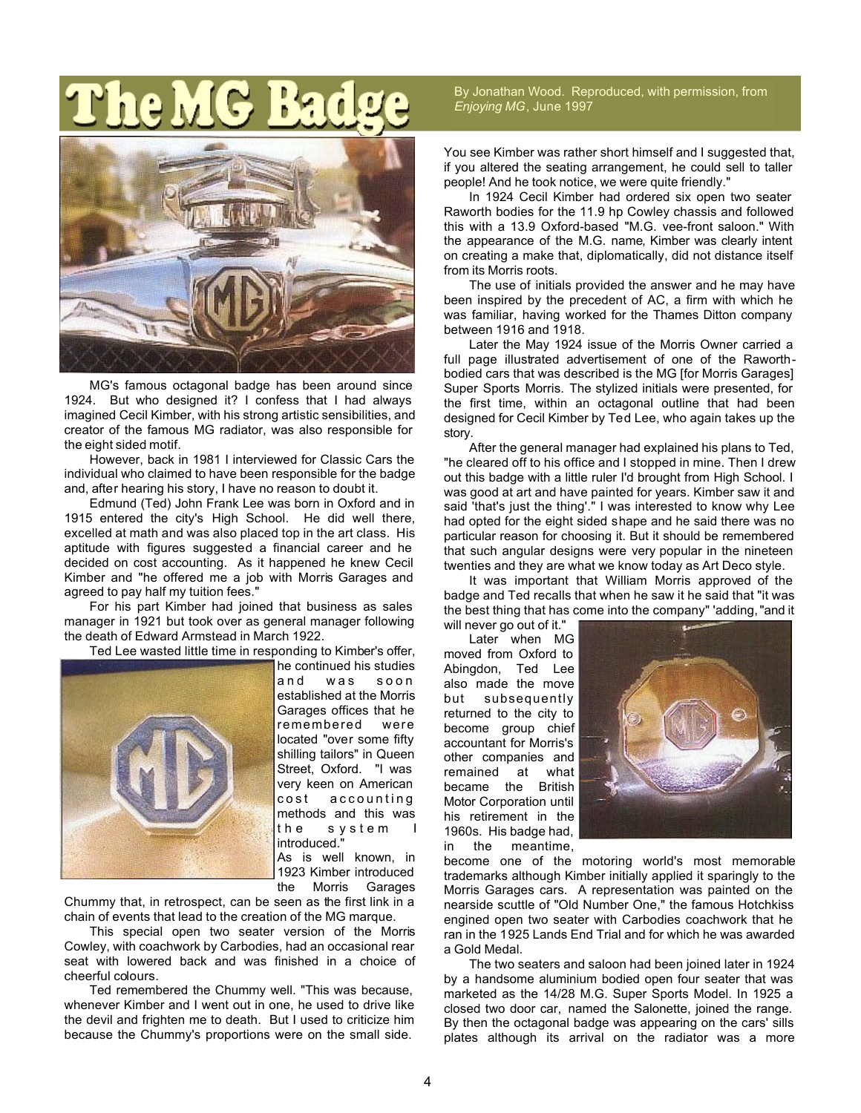

MG's famous octagonal badge has been around since 1924. But who designed it? I confess that I had always imagined Cecil Kimber, with his strong artistic sensibilities, and creator of the famous MG radiator, was also responsible for the eight sided motif.

However, back in 1981 I interviewed for Classic Cars the individual who claimed to have been responsible for the badge and, after hearing his story, I have no reason to doubt it.

Edmund (Ted) John Frank Lee was born in Oxford and in 1915 entered the city's High School. He did well there, excelled at math and was also placed top in the art class. His aptitude with figures suggested a financial career and he decided on cost accounting. As it happened he knew Cecil Kimber and "he offered me a job with Morris Garages and agreed to pay half my tuition fees."

For his part Kimber had joined that business as sales manager in 1921 but took over as general manager following the death of Edward Armstead in March 1922.

Ted Lee wasted little time in responding to Kimber's offer, he continued his studies



and was soon established at the Morris Garages offices that he remembered were located "over some fifty shilling tailors" in Queen Street, Oxford. "I was very keen on American cost accounting methods and this was the s ystem I introduced." As is well known, in

1923 Kimber introduced the Morris Garages

Chummy that, in retrospect, can be seen as the first link in a chain of events that lead to the creation of the MG marque.

This special open two seater version of the Morris Cowley, with coachwork by Carbodies, had an occasional rear seat with lowered back and was finished in a choice of cheerful colours.

Ted remembered the Chummy well. "This was because, whenever Kimber and I went out in one, he used to drive like the devil and frighten me to death. But I used to criticize him because the Chummy's proportions were on the small side.

By Jonathan Wood. Reproduced, with permission, from *Enjoying MG*, June 1997

You see Kimber was rather short himself and I suggested that, if you altered the seating arrangement, he could sell to taller people! And he took notice, we were quite friendly."

In 1924 Cecil Kimber had ordered six open two seater Raworth bodies for the 11.9 hp Cowley chassis and followed this with a 13.9 Oxford-based "M.G. vee-front saloon." With the appearance of the M.G. name, Kimber was clearly intent on creating a make that, diplomatically, did not distance itself from its Morris roots.

The use of initials provided the answer and he may have been inspired by the precedent of AC, a firm with which he was familiar, having worked for the Thames Ditton company between 1916 and 1918.

Later the May 1924 issue of the Morris Owner carried a full page illustrated advertisement of one of the Raworthbodied cars that was described is the MG [for Morris Garages] Super Sports Morris. The stylized initials were presented, for the first time, within an octagonal outline that had been designed for Cecil Kimber by Ted Lee, who again takes up the story.

After the general manager had explained his plans to Ted, "he cleared off to his office and I stopped in mine. Then I drew out this badge with a little ruler I'd brought from High School. I was good at art and have painted for years. Kimber saw it and said 'that's just the thing'." I was interested to know why Lee had opted for the eight sided shape and he said there was no particular reason for choosing it. But it should be remembered that such angular designs were very popular in the nineteen twenties and they are what we know today as Art Deco style.

It was important that William Morris approved of the badge and Ted recalls that when he saw it he said that "it was the best thing that has come into the company" 'adding, "and it will never go out of it."

Later when MG moved from Oxford to Abingdon, Ted Lee also made the move but subsequently returned to the city to become group chief accountant for Morris's other companies and remained at what became the British Motor Corporation until his retirement in the 1960s. His badge had, in the meantime,



become one of the motoring world's most memorable trademarks although Kimber initially applied it sparingly to the Morris Garages cars. A representation was painted on the nearside scuttle of "Old Number One," the famous Hotchkiss engined open two seater with Carbodies coachwork that he ran in the 1925 Lands End Trial and for which he was awarded a Gold Medal.

The two seaters and saloon had been joined later in 1924 by a handsome aluminium bodied open four seater that was marketed as the 14/28 M.G. Super Sports Model. In 1925 a closed two door car, named the Salonette, joined the range. By then the octagonal badge was appearing on the cars' sills plates although its arrival on the radiator was a more